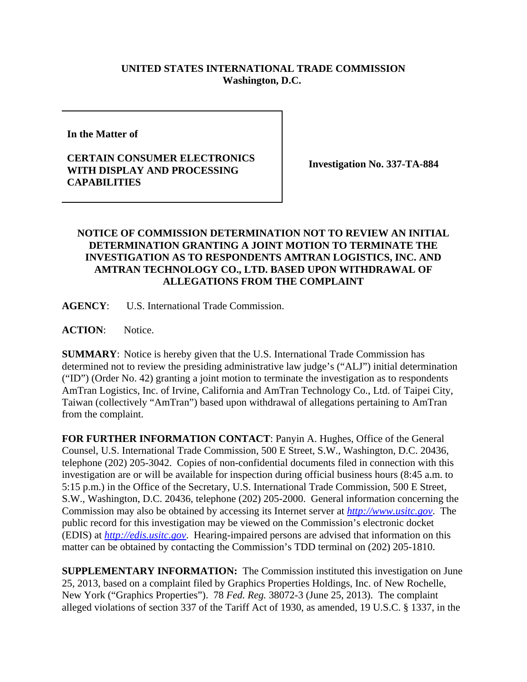## **UNITED STATES INTERNATIONAL TRADE COMMISSION Washington, D.C.**

**In the Matter of** 

## **CERTAIN CONSUMER ELECTRONICS WITH DISPLAY AND PROCESSING CAPABILITIES**

**Investigation No. 337-TA-884**

## **NOTICE OF COMMISSION DETERMINATION NOT TO REVIEW AN INITIAL DETERMINATION GRANTING A JOINT MOTION TO TERMINATE THE INVESTIGATION AS TO RESPONDENTS AMTRAN LOGISTICS, INC. AND AMTRAN TECHNOLOGY CO., LTD. BASED UPON WITHDRAWAL OF ALLEGATIONS FROM THE COMPLAINT**

**AGENCY**: U.S. International Trade Commission.

**ACTION**: Notice.

**SUMMARY**: Notice is hereby given that the U.S. International Trade Commission has determined not to review the presiding administrative law judge's ("ALJ") initial determination ("ID") (Order No. 42) granting a joint motion to terminate the investigation as to respondents AmTran Logistics, Inc. of Irvine, California and AmTran Technology Co., Ltd. of Taipei City, Taiwan (collectively "AmTran") based upon withdrawal of allegations pertaining to AmTran from the complaint.

**FOR FURTHER INFORMATION CONTACT**: Panyin A. Hughes, Office of the General Counsel, U.S. International Trade Commission, 500 E Street, S.W., Washington, D.C. 20436, telephone (202) 205-3042. Copies of non-confidential documents filed in connection with this investigation are or will be available for inspection during official business hours (8:45 a.m. to 5:15 p.m.) in the Office of the Secretary, U.S. International Trade Commission, 500 E Street, S.W., Washington, D.C. 20436, telephone (202) 205-2000. General information concerning the Commission may also be obtained by accessing its Internet server at *http://www.usitc.gov*. The public record for this investigation may be viewed on the Commission's electronic docket (EDIS) at *http://edis.usitc.gov*. Hearing-impaired persons are advised that information on this matter can be obtained by contacting the Commission's TDD terminal on (202) 205-1810.

**SUPPLEMENTARY INFORMATION:** The Commission instituted this investigation on June 25, 2013, based on a complaint filed by Graphics Properties Holdings, Inc. of New Rochelle, New York ("Graphics Properties"). 78 *Fed. Reg.* 38072-3 (June 25, 2013). The complaint alleged violations of section 337 of the Tariff Act of 1930, as amended, 19 U.S.C. § 1337, in the